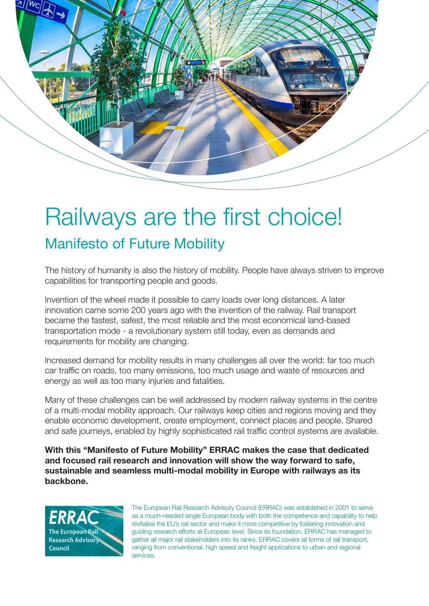

## Railways are the first choice! Manifesto of Future Mobility

The history of humanity is also the history of mobility. People have always striven to improve capabilities for transporting people and goods.

Invention of the wheel made it possible to carry loads over long distances. A later innovation came some 200 years ago with the invention of the railway. Rail transport became the fastest, safest, the most reliable and the most economical land-based transportation mode - a revolutionary system still today, even as demands and requirements for mobility are changing.

Increased demand for mobility results in many challenges all over the world: far too much car traffic on roads, too many emissions, too much usage and waste of resources and energy as well as too many injuries and fatalities.

Many of these challenges can be well addressed by modern railway systems in the centre of a multi-modal mobility approach. Our railways keep cities and regions moving and they enable economic development, create employment, connect places and people. Shared and safe journeys, enabled by highly sophisticated rail traffic control systems are available.

**With this "Manifesto of Future Mobility" ERRAC makes the case that dedicated and focused rail research and innovation will show the way forward to safe, sustainable and seamless multi-modal mobility in Europe with railways as its backbone.** 



The European Rail Research Advisory Council (ERRAC) was established in 2001 to serve as a much-needed single European body with both the competence and capability to help revitalise the EU's rail sector and make it more competitive by fostering innovation and guiding research efforts at European level. Since its foundation, ERRAC has managed to gather all major rail stakeholders into its ranks. ERRAC covers all forms of rail transport, ranging from conventional, high speed and freight applications to urban and regional services.